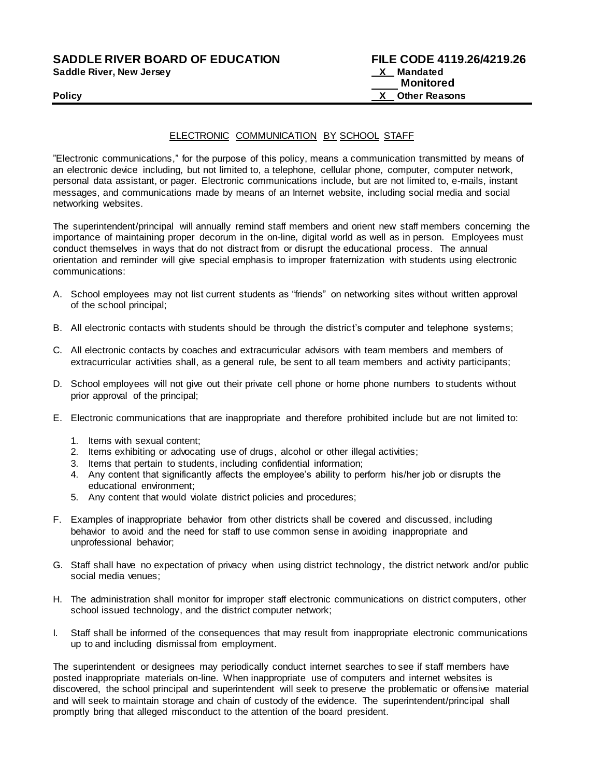**Saddle River, New Jersey** 

# ELECTRONIC COMMUNICATION BY SCHOOL STAFF

"Electronic communications," for the purpose of this policy, means a communication transmitted by means of an electronic device including, but not limited to, a telephone, cellular phone, computer, computer network, personal data assistant, or pager. Electronic communications include, but are not limited to, e-mails, instant messages, and communications made by means of an Internet website, including social media and social networking websites.

The superintendent/principal will annually remind staff members and orient new staff members concerning the importance of maintaining proper decorum in the on-line, digital world as well as in person. Employees must conduct themselves in ways that do not distract from or disrupt the educational process. The annual orientation and reminder will give special emphasis to improper fraternization with students using electronic communications:

- A. School employees may not list current students as "friends" on networking sites without written approval of the school principal;
- B. All electronic contacts with students should be through the district's computer and telephone systems;
- C. All electronic contacts by coaches and extracurricular advisors with team members and members of extracurricular activities shall, as a general rule, be sent to all team members and activity participants;
- D. School employees will not give out their private cell phone or home phone numbers to students without prior approval of the principal;
- E. Electronic communications that are inappropriate and therefore prohibited include but are not limited to:
	- 1. Items with sexual content;
	- 2. Items exhibiting or advocating use of drugs, alcohol or other illegal activities;
	- 3. Items that pertain to students, including confidential information;
	- 4. Any content that significantly affects the employee's ability to perform his/her job or disrupts the educational environment;
	- 5. Any content that would violate district policies and procedures;
- F. Examples of inappropriate behavior from other districts shall be covered and discussed, including behavior to avoid and the need for staff to use common sense in avoiding inappropriate and unprofessional behavior;
- G. Staff shall have no expectation of privacy when using district technology, the district network and/or public social media venues;
- H. The administration shall monitor for improper staff electronic communications on district computers, other school issued technology, and the district computer network;
- I. Staff shall be informed of the consequences that may result from inappropriate electronic communications up to and including dismissal from employment.

The superintendent or designees may periodically conduct internet searches to see if staff members have posted inappropriate materials on-line. When inappropriate use of computers and internet websites is discovered, the school principal and superintendent will seek to preserve the problematic or offensive material and will seek to maintain storage and chain of custody of the evidence. The superintendent/principal shall promptly bring that alleged misconduct to the attention of the board president.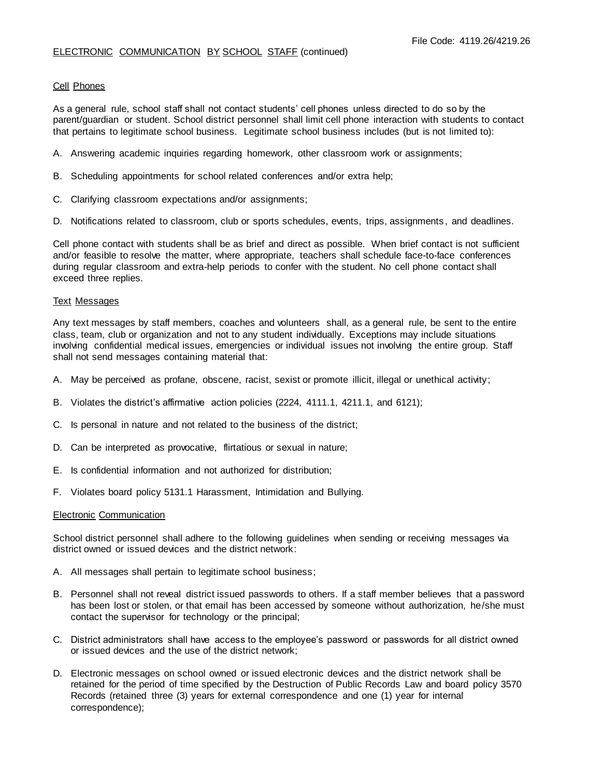# Cell Phones

As a general rule, school staff shall not contact students' cell phones unless directed to do so by the parent/guardian or student. School district personnel shall limit cell phone interaction with students to contact that pertains to legitimate school business. Legitimate school business includes (but is not limited to):

- A. Answering academic inquiries regarding homework, other classroom work or assignments;
- B. Scheduling appointments for school related conferences and/or extra help;
- C. Clarifying classroom expectations and/or assignments;
- D. Notifications related to classroom, club or sports schedules, events, trips, assignments , and deadlines.

Cell phone contact with students shall be as brief and direct as possible. When brief contact is not sufficient and/or feasible to resolve the matter, where appropriate, teachers shall schedule face-to-face conferences during regular classroom and extra-help periods to confer with the student. No cell phone contact shall exceed three replies.

#### Text Messages

Any text messages by staff members, coaches and volunteers shall, as a general rule, be sent to the entire class, team, club or organization and not to any student individually. Exceptions may include situations involving confidential medical issues, emergencies or individual issues not involving the entire group. Staff shall not send messages containing material that:

- A. May be perceived as profane, obscene, racist, sexist or promote illicit, illegal or unethical activity;
- B. Violates the district's affirmative action policies (2224, 4111.1, 4211.1, and 6121);
- C. Is personal in nature and not related to the business of the district;
- D. Can be interpreted as provocative, flirtatious or sexual in nature;
- E. Is confidential information and not authorized for distribution;
- F. Violates board policy 5131.1 Harassment, Intimidation and Bullying.

#### Electronic Communication

School district personnel shall adhere to the following guidelines when sending or receiving messages via district owned or issued devices and the district network:

- A. All messages shall pertain to legitimate school business;
- B. Personnel shall not reveal district issued passwords to others. If a staff member believes that a password has been lost or stolen, or that email has been accessed by someone without authorization, he/she must contact the supervisor for technology or the principal;
- C. District administrators shall have access to the employee's password or passwords for all district owned or issued devices and the use of the district network;
- D. Electronic messages on school owned or issued electronic devices and the district network shall be retained for the period of time specified by the Destruction of Public Records Law and board policy 3570 Records (retained three (3) years for external correspondence and one (1) year for internal correspondence);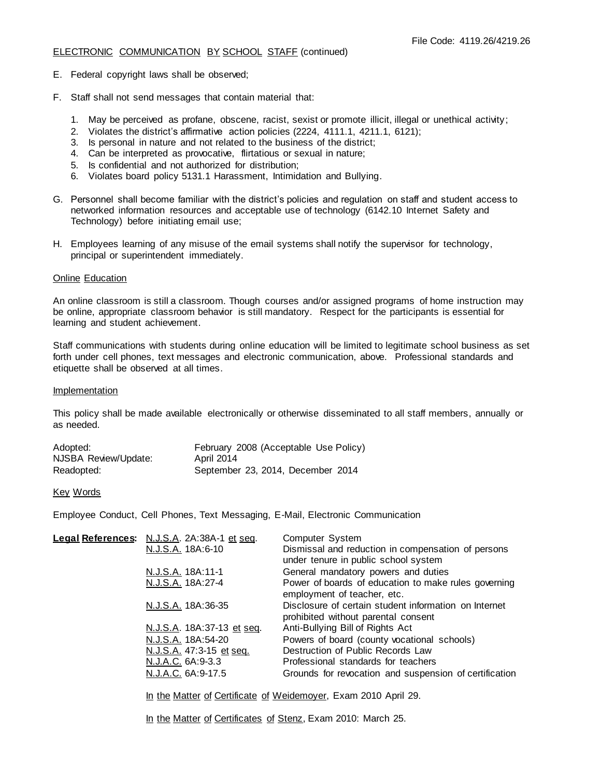## ELECTRONIC COMMUNICATION BY SCHOOL STAFF (continued)

- E. Federal copyright laws shall be observed;
- F. Staff shall not send messages that contain material that:
	- 1. May be perceived as profane, obscene, racist, sexist or promote illicit, illegal or unethical activity;
	- 2. Violates the district's affirmative action policies (2224, 4111.1, 4211.1, 6121);
	- 3. Is personal in nature and not related to the business of the district;
	- 4. Can be interpreted as provocative, flirtatious or sexual in nature;
	- 5. Is confidential and not authorized for distribution;
	- 6. Violates board policy 5131.1 Harassment, Intimidation and Bullying.
- G. Personnel shall become familiar with the district's policies and regulation on staff and student access to networked information resources and acceptable use of technology (6142.10 Internet Safety and Technology) before initiating email use;
- H. Employees learning of any misuse of the email systems shall notify the supervisor for technology, principal or superintendent immediately.

# Online Education

An online classroom is still a classroom. Though courses and/or assigned programs of home instruction may be online, appropriate classroom behavior is still mandatory. Respect for the participants is essential for learning and student achievement.

Staff communications with students during online education will be limited to legitimate school business as set forth under cell phones, text messages and electronic communication, above. Professional standards and etiquette shall be observed at all times.

#### Implementation

This policy shall be made available electronically or otherwise disseminated to all staff members, annually or as needed.

| Adopted:             | February 2008 (Acceptable Use Policy) |
|----------------------|---------------------------------------|
| NJSBA Review/Update: | <b>April 2014</b>                     |
| Readopted:           | September 23, 2014, December 2014     |

#### Key Words

Employee Conduct, Cell Phones, Text Messaging, E-Mail, Electronic Communication

| Legal References: N.J.S.A. 2A:38A-1 et seg. | Computer System                                                                              |
|---------------------------------------------|----------------------------------------------------------------------------------------------|
| N.J.S.A. 18A:6-10                           | Dismissal and reduction in compensation of persons<br>under tenure in public school system   |
| N.J.S.A. 18A:11-1                           | General mandatory powers and duties                                                          |
| N.J.S.A. 18A:27-4                           | Power of boards of education to make rules governing<br>employment of teacher, etc.          |
| N.J.S.A. 18A:36-35                          | Disclosure of certain student information on Internet<br>prohibited without parental consent |
| N.J.S.A. 18A:37-13 et seq.                  | Anti-Bullying Bill of Rights Act                                                             |
| N.J.S.A. 18A:54-20                          | Powers of board (county vocational schools)                                                  |
| N.J.S.A. 47:3-15 et seq.                    | Destruction of Public Records Law                                                            |
| N.J.A.C. 6A:9-3.3                           | Professional standards for teachers                                                          |
| N.J.A.C. 6A:9-17.5                          | Grounds for revocation and suspension of certification                                       |
|                                             |                                                                                              |

In the Matter of Certificate of Weidemoyer, Exam 2010 April 29.

In the Matter of Certificates of Stenz, Exam 2010: March 25.